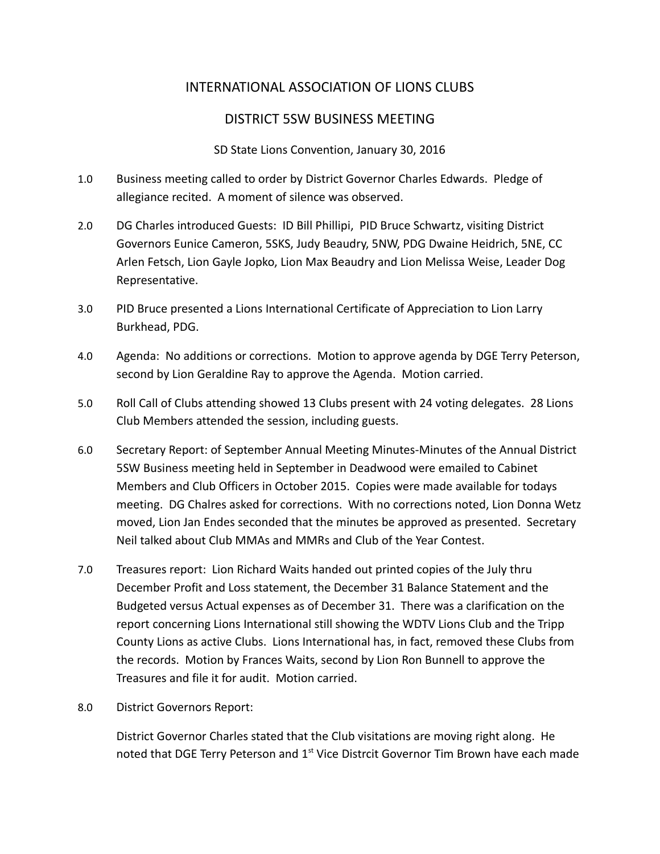# INTERNATIONAL ASSOCIATION OF LIONS CLUBS

# DISTRICT 5SW BUSINESS MEETING

### SD State Lions Convention, January 30, 2016

- 1.0 Business meeting called to order by District Governor Charles Edwards. Pledge of allegiance recited. A moment of silence was observed.
- 2.0 DG Charles introduced Guests: ID Bill Phillipi, PID Bruce Schwartz, visiting District Governors Eunice Cameron, 5SKS, Judy Beaudry, 5NW, PDG Dwaine Heidrich, 5NE, CC Arlen Fetsch, Lion Gayle Jopko, Lion Max Beaudry and Lion Melissa Weise, Leader Dog Representative.
- 3.0 PID Bruce presented a Lions International Certificate of Appreciation to Lion Larry Burkhead, PDG.
- 4.0 Agenda: No additions or corrections. Motion to approve agenda by DGE Terry Peterson, second by Lion Geraldine Ray to approve the Agenda. Motion carried.
- 5.0 Roll Call of Clubs attending showed 13 Clubs present with 24 voting delegates. 28 Lions Club Members attended the session, including guests.
- 6.0 Secretary Report: of September Annual Meeting Minutes-Minutes of the Annual District 5SW Business meeting held in September in Deadwood were emailed to Cabinet Members and Club Officers in October 2015. Copies were made available for todays meeting. DG Chalres asked for corrections. With no corrections noted, Lion Donna Wetz moved, Lion Jan Endes seconded that the minutes be approved as presented. Secretary Neil talked about Club MMAs and MMRs and Club of the Year Contest.
- 7.0 Treasures report: Lion Richard Waits handed out printed copies of the July thru December Profit and Loss statement, the December 31 Balance Statement and the Budgeted versus Actual expenses as of December 31. There was a clarification on the report concerning Lions International still showing the WDTV Lions Club and the Tripp County Lions as active Clubs. Lions International has, in fact, removed these Clubs from the records. Motion by Frances Waits, second by Lion Ron Bunnell to approve the Treasures and file it for audit. Motion carried.
- 8.0 District Governors Report:

District Governor Charles stated that the Club visitations are moving right along. He noted that DGE Terry Peterson and 1<sup>st</sup> Vice Distrcit Governor Tim Brown have each made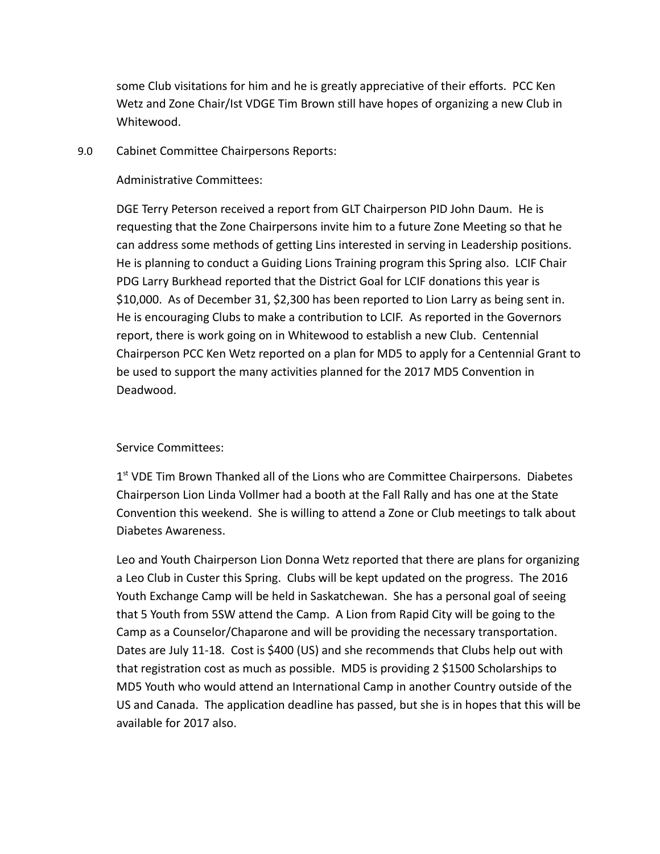some Club visitations for him and he is greatly appreciative of their efforts. PCC Ken Wetz and Zone Chair/Ist VDGE Tim Brown still have hopes of organizing a new Club in Whitewood.

9.0 Cabinet Committee Chairpersons Reports:

#### Administrative Committees:

DGE Terry Peterson received a report from GLT Chairperson PID John Daum. He is requesting that the Zone Chairpersons invite him to a future Zone Meeting so that he can address some methods of getting Lins interested in serving in Leadership positions. He is planning to conduct a Guiding Lions Training program this Spring also. LCIF Chair PDG Larry Burkhead reported that the District Goal for LCIF donations this year is \$10,000. As of December 31, \$2,300 has been reported to Lion Larry as being sent in. He is encouraging Clubs to make a contribution to LCIF. As reported in the Governors report, there is work going on in Whitewood to establish a new Club. Centennial Chairperson PCC Ken Wetz reported on a plan for MD5 to apply for a Centennial Grant to be used to support the many activities planned for the 2017 MD5 Convention in Deadwood.

### Service Committees:

1<sup>st</sup> VDE Tim Brown Thanked all of the Lions who are Committee Chairpersons. Diabetes Chairperson Lion Linda Vollmer had a booth at the Fall Rally and has one at the State Convention this weekend. She is willing to attend a Zone or Club meetings to talk about Diabetes Awareness.

Leo and Youth Chairperson Lion Donna Wetz reported that there are plans for organizing a Leo Club in Custer this Spring. Clubs will be kept updated on the progress. The 2016 Youth Exchange Camp will be held in Saskatchewan. She has a personal goal of seeing that 5 Youth from 5SW attend the Camp. A Lion from Rapid City will be going to the Camp as a Counselor/Chaparone and will be providing the necessary transportation. Dates are July 11-18. Cost is \$400 (US) and she recommends that Clubs help out with that registration cost as much as possible. MD5 is providing 2 \$1500 Scholarships to MD5 Youth who would attend an International Camp in another Country outside of the US and Canada. The application deadline has passed, but she is in hopes that this will be available for 2017 also.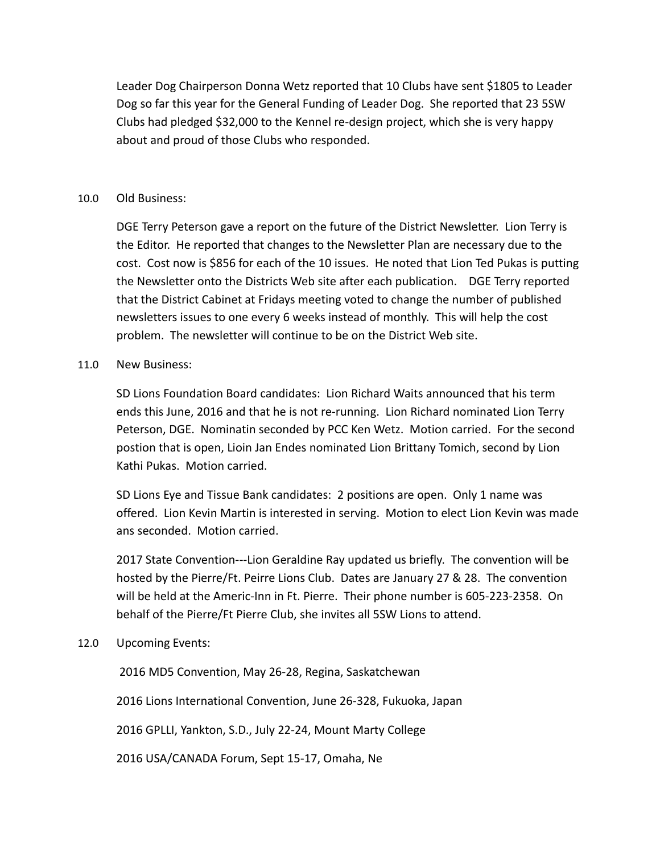Leader Dog Chairperson Donna Wetz reported that 10 Clubs have sent \$1805 to Leader Dog so far this year for the General Funding of Leader Dog. She reported that 23 5SW Clubs had pledged \$32,000 to the Kennel re-design project, which she is very happy about and proud of those Clubs who responded.

#### 10.0 Old Business:

DGE Terry Peterson gave a report on the future of the District Newsletter. Lion Terry is the Editor. He reported that changes to the Newsletter Plan are necessary due to the cost. Cost now is \$856 for each of the 10 issues. He noted that Lion Ted Pukas is putting the Newsletter onto the Districts Web site after each publication. DGE Terry reported that the District Cabinet at Fridays meeting voted to change the number of published newsletters issues to one every 6 weeks instead of monthly. This will help the cost problem. The newsletter will continue to be on the District Web site.

#### 11.0 New Business:

SD Lions Foundation Board candidates: Lion Richard Waits announced that his term ends this June, 2016 and that he is not re-running. Lion Richard nominated Lion Terry Peterson, DGE. Nominatin seconded by PCC Ken Wetz. Motion carried. For the second postion that is open, Lioin Jan Endes nominated Lion Brittany Tomich, second by Lion Kathi Pukas. Motion carried.

SD Lions Eye and Tissue Bank candidates: 2 positions are open. Only 1 name was offered. Lion Kevin Martin is interested in serving. Motion to elect Lion Kevin was made ans seconded. Motion carried.

2017 State Convention---Lion Geraldine Ray updated us briefly. The convention will be hosted by the Pierre/Ft. Peirre Lions Club. Dates are January 27 & 28. The convention will be held at the Americ-Inn in Ft. Pierre. Their phone number is 605-223-2358. On behalf of the Pierre/Ft Pierre Club, she invites all 5SW Lions to attend.

### 12.0 Upcoming Events:

2016 MD5 Convention, May 26-28, Regina, Saskatchewan

2016 Lions International Convention, June 26-328, Fukuoka, Japan

2016 GPLLI, Yankton, S.D., July 22-24, Mount Marty College

2016 USA/CANADA Forum, Sept 15-17, Omaha, Ne